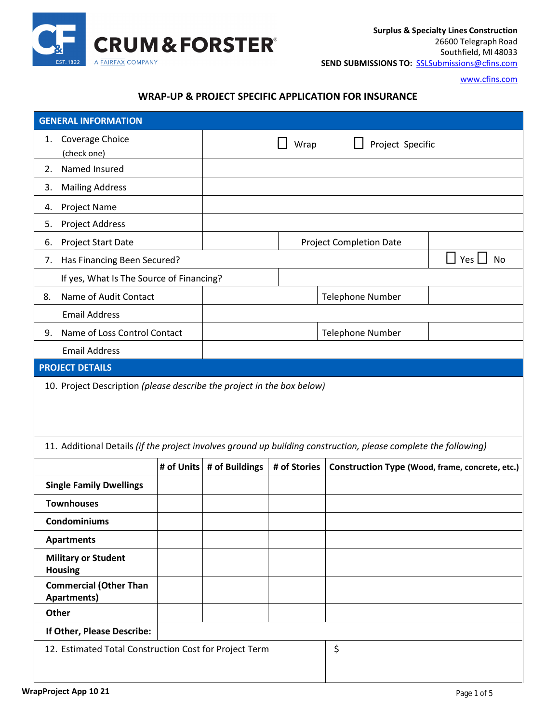

[www.cfins.com](http://www.cfins.com/)

## **WRAP-UP & PROJECT SPECIFIC APPLICATION FOR INSURANCE**

| Coverage Choice<br>1.<br>Project Specific<br>Wrap<br>(check one)<br>Named Insured<br>2.<br><b>Mailing Address</b><br>3.<br>Project Name<br>4.<br>Project Address<br>5.<br>Project Start Date<br><b>Project Completion Date</b><br>6.<br>Yes  <br><b>No</b><br>Has Financing Been Secured?<br>7. |  |  |  |  |  |  |
|-------------------------------------------------------------------------------------------------------------------------------------------------------------------------------------------------------------------------------------------------------------------------------------------------|--|--|--|--|--|--|
|                                                                                                                                                                                                                                                                                                 |  |  |  |  |  |  |
|                                                                                                                                                                                                                                                                                                 |  |  |  |  |  |  |
|                                                                                                                                                                                                                                                                                                 |  |  |  |  |  |  |
|                                                                                                                                                                                                                                                                                                 |  |  |  |  |  |  |
|                                                                                                                                                                                                                                                                                                 |  |  |  |  |  |  |
|                                                                                                                                                                                                                                                                                                 |  |  |  |  |  |  |
|                                                                                                                                                                                                                                                                                                 |  |  |  |  |  |  |
|                                                                                                                                                                                                                                                                                                 |  |  |  |  |  |  |
| If yes, What Is The Source of Financing?                                                                                                                                                                                                                                                        |  |  |  |  |  |  |
| Name of Audit Contact<br><b>Telephone Number</b><br>8.                                                                                                                                                                                                                                          |  |  |  |  |  |  |
| <b>Email Address</b>                                                                                                                                                                                                                                                                            |  |  |  |  |  |  |
| Name of Loss Control Contact<br>Telephone Number<br>9.                                                                                                                                                                                                                                          |  |  |  |  |  |  |
| <b>Email Address</b>                                                                                                                                                                                                                                                                            |  |  |  |  |  |  |
| <b>PROJECT DETAILS</b>                                                                                                                                                                                                                                                                          |  |  |  |  |  |  |
| 10. Project Description (please describe the project in the box below)                                                                                                                                                                                                                          |  |  |  |  |  |  |
|                                                                                                                                                                                                                                                                                                 |  |  |  |  |  |  |
|                                                                                                                                                                                                                                                                                                 |  |  |  |  |  |  |
| 11. Additional Details (if the project involves ground up building construction, please complete the following)                                                                                                                                                                                 |  |  |  |  |  |  |
| # of Units # of Buildings<br># of Stories<br>Construction Type (Wood, frame, concrete, etc.)                                                                                                                                                                                                    |  |  |  |  |  |  |
|                                                                                                                                                                                                                                                                                                 |  |  |  |  |  |  |
| <b>Single Family Dwellings</b>                                                                                                                                                                                                                                                                  |  |  |  |  |  |  |
| <b>Townhouses</b>                                                                                                                                                                                                                                                                               |  |  |  |  |  |  |
| <b>Condominiums</b>                                                                                                                                                                                                                                                                             |  |  |  |  |  |  |
| <b>Apartments</b>                                                                                                                                                                                                                                                                               |  |  |  |  |  |  |
| <b>Military or Student</b><br><b>Housing</b>                                                                                                                                                                                                                                                    |  |  |  |  |  |  |
| <b>Commercial (Other Than</b><br><b>Apartments)</b>                                                                                                                                                                                                                                             |  |  |  |  |  |  |
| Other                                                                                                                                                                                                                                                                                           |  |  |  |  |  |  |
| If Other, Please Describe:                                                                                                                                                                                                                                                                      |  |  |  |  |  |  |
| \$<br>12. Estimated Total Construction Cost for Project Term                                                                                                                                                                                                                                    |  |  |  |  |  |  |
|                                                                                                                                                                                                                                                                                                 |  |  |  |  |  |  |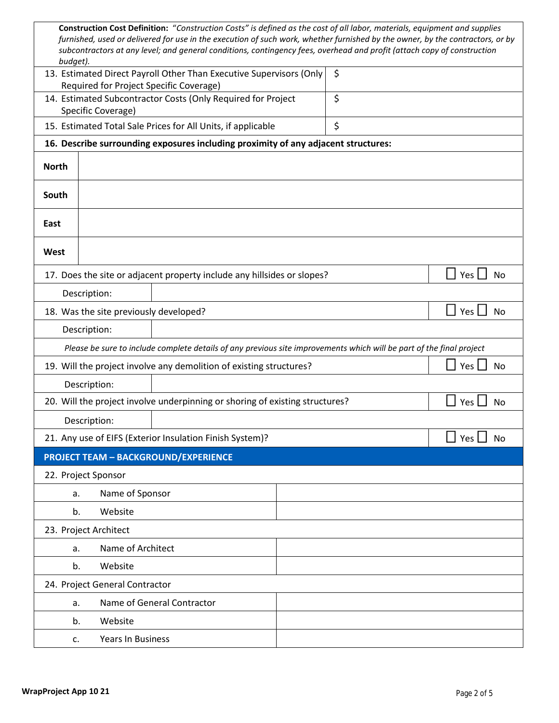| budget).                                                                                 |                                                                                  | Construction Cost Definition: "Construction Costs" is defined as the cost of all labor, materials, equipment and supplies<br>furnished, used or delivered for use in the execution of such work, whether furnished by the owner, by the contractors, or by<br>subcontractors at any level; and general conditions, contingency fees, overhead and profit (attach copy of construction |    |  |                         |  |
|------------------------------------------------------------------------------------------|----------------------------------------------------------------------------------|---------------------------------------------------------------------------------------------------------------------------------------------------------------------------------------------------------------------------------------------------------------------------------------------------------------------------------------------------------------------------------------|----|--|-------------------------|--|
|                                                                                          | Required for Project Specific Coverage)                                          | 13. Estimated Direct Payroll Other Than Executive Supervisors (Only                                                                                                                                                                                                                                                                                                                   | \$ |  |                         |  |
|                                                                                          |                                                                                  | 14. Estimated Subcontractor Costs (Only Required for Project                                                                                                                                                                                                                                                                                                                          | \$ |  |                         |  |
| Specific Coverage)<br>\$<br>15. Estimated Total Sale Prices for All Units, if applicable |                                                                                  |                                                                                                                                                                                                                                                                                                                                                                                       |    |  |                         |  |
|                                                                                          |                                                                                  | 16. Describe surrounding exposures including proximity of any adjacent structures:                                                                                                                                                                                                                                                                                                    |    |  |                         |  |
| <b>North</b>                                                                             |                                                                                  |                                                                                                                                                                                                                                                                                                                                                                                       |    |  |                         |  |
| South                                                                                    |                                                                                  |                                                                                                                                                                                                                                                                                                                                                                                       |    |  |                         |  |
| East                                                                                     |                                                                                  |                                                                                                                                                                                                                                                                                                                                                                                       |    |  |                         |  |
| West                                                                                     |                                                                                  |                                                                                                                                                                                                                                                                                                                                                                                       |    |  |                         |  |
|                                                                                          |                                                                                  | 17. Does the site or adjacent property include any hillsides or slopes?                                                                                                                                                                                                                                                                                                               |    |  | Yes $\Box$<br><b>No</b> |  |
|                                                                                          | Description:                                                                     |                                                                                                                                                                                                                                                                                                                                                                                       |    |  |                         |  |
|                                                                                          | 18. Was the site previously developed?<br><b>Yes</b><br><b>No</b>                |                                                                                                                                                                                                                                                                                                                                                                                       |    |  |                         |  |
|                                                                                          | Description:                                                                     |                                                                                                                                                                                                                                                                                                                                                                                       |    |  |                         |  |
|                                                                                          |                                                                                  | Please be sure to include complete details of any previous site improvements which will be part of the final project                                                                                                                                                                                                                                                                  |    |  |                         |  |
|                                                                                          | 19. Will the project involve any demolition of existing structures?<br>Yes<br>No |                                                                                                                                                                                                                                                                                                                                                                                       |    |  |                         |  |
|                                                                                          | Description:                                                                     |                                                                                                                                                                                                                                                                                                                                                                                       |    |  |                         |  |
|                                                                                          |                                                                                  | 20. Will the project involve underpinning or shoring of existing structures?                                                                                                                                                                                                                                                                                                          |    |  | Yes<br>No               |  |
|                                                                                          | Description:                                                                     |                                                                                                                                                                                                                                                                                                                                                                                       |    |  |                         |  |
|                                                                                          |                                                                                  | 21. Any use of EIFS (Exterior Insulation Finish System)?                                                                                                                                                                                                                                                                                                                              |    |  | Yes  <br><b>No</b>      |  |
|                                                                                          |                                                                                  | <b>PROJECT TEAM - BACKGROUND/EXPERIENCE</b>                                                                                                                                                                                                                                                                                                                                           |    |  |                         |  |
|                                                                                          | 22. Project Sponsor                                                              |                                                                                                                                                                                                                                                                                                                                                                                       |    |  |                         |  |
| a.                                                                                       | Name of Sponsor                                                                  |                                                                                                                                                                                                                                                                                                                                                                                       |    |  |                         |  |
|                                                                                          | Website<br>b.                                                                    |                                                                                                                                                                                                                                                                                                                                                                                       |    |  |                         |  |
|                                                                                          | 23. Project Architect                                                            |                                                                                                                                                                                                                                                                                                                                                                                       |    |  |                         |  |
|                                                                                          | Name of Architect<br>a.                                                          |                                                                                                                                                                                                                                                                                                                                                                                       |    |  |                         |  |
| b.                                                                                       | Website                                                                          |                                                                                                                                                                                                                                                                                                                                                                                       |    |  |                         |  |
|                                                                                          | 24. Project General Contractor                                                   |                                                                                                                                                                                                                                                                                                                                                                                       |    |  |                         |  |
| a.                                                                                       |                                                                                  | Name of General Contractor                                                                                                                                                                                                                                                                                                                                                            |    |  |                         |  |
|                                                                                          | Website<br>b.                                                                    |                                                                                                                                                                                                                                                                                                                                                                                       |    |  |                         |  |
|                                                                                          | Years In Business<br>c.                                                          |                                                                                                                                                                                                                                                                                                                                                                                       |    |  |                         |  |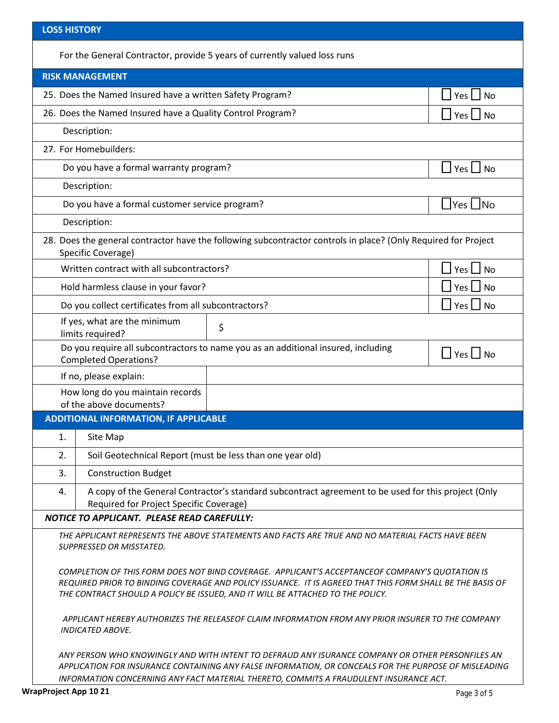| <b>LOSS HISTORY</b>                                                                                                                                                                                                                                                                                |                         |  |  |  |  |
|----------------------------------------------------------------------------------------------------------------------------------------------------------------------------------------------------------------------------------------------------------------------------------------------------|-------------------------|--|--|--|--|
| For the General Contractor, provide 5 years of currently valued loss runs                                                                                                                                                                                                                          |                         |  |  |  |  |
| <b>RISK MANAGEMENT</b>                                                                                                                                                                                                                                                                             |                         |  |  |  |  |
| 25. Does the Named Insured have a written Safety Program?<br>Yes $\Box$ No                                                                                                                                                                                                                         |                         |  |  |  |  |
| 26. Does the Named Insured have a Quality Control Program?<br>Yes $\Box$ No                                                                                                                                                                                                                        |                         |  |  |  |  |
| Description:                                                                                                                                                                                                                                                                                       |                         |  |  |  |  |
| 27. For Homebuilders:                                                                                                                                                                                                                                                                              |                         |  |  |  |  |
| Do you have a formal warranty program?<br>$\Box$ Yes $\Box$ No                                                                                                                                                                                                                                     |                         |  |  |  |  |
| Description:                                                                                                                                                                                                                                                                                       |                         |  |  |  |  |
| Do you have a formal customer service program?                                                                                                                                                                                                                                                     | ∐Yes ∐No                |  |  |  |  |
| Description:                                                                                                                                                                                                                                                                                       |                         |  |  |  |  |
| 28. Does the general contractor have the following subcontractor controls in place? (Only Required for Project<br>Specific Coverage)                                                                                                                                                               |                         |  |  |  |  |
| Written contract with all subcontractors?                                                                                                                                                                                                                                                          | <b>No</b><br>Yes $\Box$ |  |  |  |  |
| Hold harmless clause in your favor?                                                                                                                                                                                                                                                                | $Yes \bigsqcup No$      |  |  |  |  |
| Do you collect certificates from all subcontractors?<br>$\Box$ Yes $\Box$ No                                                                                                                                                                                                                       |                         |  |  |  |  |
| If yes, what are the minimum<br>\$<br>limits required?                                                                                                                                                                                                                                             |                         |  |  |  |  |
| Do you require all subcontractors to name you as an additional insured, including<br>$\Box$ Yes $\Box$ No<br><b>Completed Operations?</b>                                                                                                                                                          |                         |  |  |  |  |
| If no, please explain:                                                                                                                                                                                                                                                                             |                         |  |  |  |  |
| How long do you maintain records<br>of the above documents?                                                                                                                                                                                                                                        |                         |  |  |  |  |
| <b>ADDITIONAL INFORMATION, IF APPLICABLE</b>                                                                                                                                                                                                                                                       |                         |  |  |  |  |
| 1.<br>Site Map                                                                                                                                                                                                                                                                                     |                         |  |  |  |  |
| Soil Geotechnical Report (must be less than one year old)<br>2.                                                                                                                                                                                                                                    |                         |  |  |  |  |
| 3.<br><b>Construction Budget</b>                                                                                                                                                                                                                                                                   |                         |  |  |  |  |
| A copy of the General Contractor's standard subcontract agreement to be used for this project (Only<br>4.<br>Required for Project Specific Coverage)                                                                                                                                               |                         |  |  |  |  |
| <b>NOTICE TO APPLICANT. PLEASE READ CAREFULLY:</b>                                                                                                                                                                                                                                                 |                         |  |  |  |  |
| THE APPLICANT REPRESENTS THE ABOVE STATEMENTS AND FACTS ARE TRUE AND NO MATERIAL FACTS HAVE BEEN<br>SUPPRESSED OR MISSTATED.                                                                                                                                                                       |                         |  |  |  |  |
| COMPLETION OF THIS FORM DOES NOT BIND COVERAGE. APPLICANT'S ACCEPTANCEOF COMPANY'S QUOTATION IS<br>REQUIRED PRIOR TO BINDING COVERAGE AND POLICY ISSUANCE. IT IS AGREED THAT THIS FORM SHALL BE THE BASIS OF<br>THE CONTRACT SHOULD A POLICY BE ISSUED, AND IT WILL BE ATTACHED TO THE POLICY.     |                         |  |  |  |  |
| APPLICANT HEREBY AUTHORIZES THE RELEASEOF CLAIM INFORMATION FROM ANY PRIOR INSURER TO THE COMPANY<br><b>INDICATED ABOVE.</b>                                                                                                                                                                       |                         |  |  |  |  |
| ANY PERSON WHO KNOWINGLY AND WITH INTENT TO DEFRAUD ANY ISURANCE COMPANY OR OTHER PERSONFILES AN<br>APPLICATION FOR INSURANCE CONTAINING ANY FALSE INFORMATION, OR CONCEALS FOR THE PURPOSE OF MISLEADING<br>INFORMATION CONCERNING ANY FACT MATERIAL THERETO, COMMITS A FRAUDULENT INSURANCE ACT. |                         |  |  |  |  |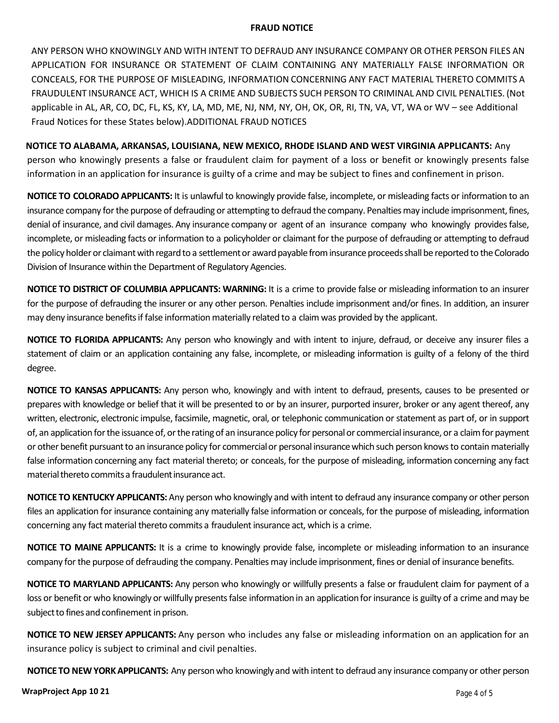## **FRAUD NOTICE**

ANY PERSON WHO KNOWINGLY AND WITH INTENT TO DEFRAUD ANY INSURANCE COMPANY OR OTHER PERSON FILES AN APPLICATION FOR INSURANCE OR STATEMENT OF CLAIM CONTAINING ANY MATERIALLY FALSE INFORMATION OR CONCEALS, FOR THE PURPOSE OF MISLEADING, INFORMATION CONCERNING ANY FACT MATERIAL THERETO COMMITS A FRAUDULENT INSURANCE ACT, WHICH IS A CRIME AND SUBJECTS SUCH PERSON TO CRIMINAL AND CIVIL PENALTIES. (Not applicable in AL, AR, CO, DC, FL, KS, KY, LA, MD, ME, NJ, NM, NY, OH, OK, OR, RI, TN, VA, VT, WA or WV – see Additional Fraud Notices for these States below).ADDITIONAL FRAUD NOTICES

**NOTICE TO ALABAMA, ARKANSAS, LOUISIANA, NEW MEXICO, RHODE ISLAND AND WEST VIRGINIA APPLICANTS:** Any person who knowingly presents a false or fraudulent claim for payment of a loss or benefit or knowingly presents false information in an application for insurance is guilty of a crime and may be subject to fines and confinement in prison.

**NOTICE TO COLORADO APPLICANTS:** It is unlawful to knowingly provide false, incomplete, or misleading facts or information to an insurance company for the purpose of defrauding or attempting to defraud the company. Penalties may include imprisonment, fines, denial of insurance, and civil damages. Any insurance company or agent of an insurance company who knowingly provides false, incomplete, or misleading facts or information to a policyholder or claimant for the purpose of defrauding or attempting to defraud the policy holder or claimant with regard to a settlement or award payable from insurance proceeds shall be reported to the Colorado Division of Insurance within the Department of Regulatory Agencies.

**NOTICE TO DISTRICT OF COLUMBIA APPLICANTS: WARNING:** It is a crime to provide false or misleading information to an insurer for the purpose of defrauding the insurer or any other person. Penalties include imprisonment and/or fines. In addition, an insurer may deny insurance benefits if false information materially related to a claim was provided by the applicant.

**NOTICE TO FLORIDA APPLICANTS:** Any person who knowingly and with intent to injure, defraud, or deceive any insurer files a statement of claim or an application containing any false, incomplete, or misleading information is guilty of a felony of the third degree.

**NOTICE TO KANSAS APPLICANTS:** Any person who, knowingly and with intent to defraud, presents, causes to be presented or prepares with knowledge or belief that it will be presented to or by an insurer, purported insurer, broker or any agent thereof, any written, electronic, electronic impulse, facsimile, magnetic, oral, or telephonic communication or statement as part of, or in support of, an application for the issuance of, or the rating of an insurance policy for personal or commercial insurance, or a claim for payment or other benefit pursuantto an insurance policy for commercialor personal insurancewhich such person knowsto contain materially false information concerning any fact material thereto; or conceals, for the purpose of misleading, information concerning any fact material thereto commits a fraudulent insurance act.

**NOTICE TO KENTUCKY APPLICANTS:** Any person who knowingly and with intent to defraud any insurance company or other person files an application for insurance containing any materially false information or conceals, for the purpose of misleading, information concerning any fact material thereto commits a fraudulent insurance act, which is a crime.

**NOTICE TO MAINE APPLICANTS:** It is a crime to knowingly provide false, incomplete or misleading information to an insurance company for the purpose of defrauding the company. Penalties may include imprisonment, fines or denial of insurance benefits.

**NOTICE TO MARYLAND APPLICANTS:** Any person who knowingly or willfully presents a false or fraudulent claim for payment of a loss or benefit or who knowingly or willfully presents false information in an application for insurance is guilty of a crime and may be subject to fines and confinement in prison.

**NOTICE TO NEW JERSEY APPLICANTS:** Any person who includes any false or misleading information on an application for an insurance policy is subject to criminal and civil penalties.

**NOTICE TO NEW YORK APPLICANTS:** Any person who knowingly and with intent to defraud any insurance company or other person